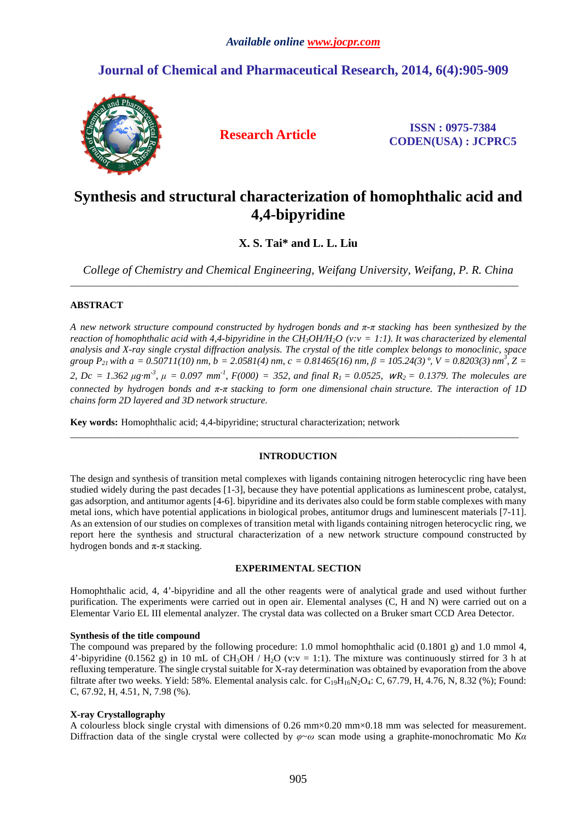## **Journal of Chemical and Pharmaceutical Research, 2014, 6(4):905-909**



**Research Article ISSN : 0975-7384 CODEN(USA) : JCPRC5**

# **Synthesis and structural characterization of homophthalic acid and 4,4-bipyridine**

**X. S. Tai\* and L. L. Liu**

*College of Chemistry and Chemical Engineering, Weifang University, Weifang, P. R. China*  \_\_\_\_\_\_\_\_\_\_\_\_\_\_\_\_\_\_\_\_\_\_\_\_\_\_\_\_\_\_\_\_\_\_\_\_\_\_\_\_\_\_\_\_\_\_\_\_\_\_\_\_\_\_\_\_\_\_\_\_\_\_\_\_\_\_\_\_\_\_\_\_\_\_\_\_\_\_\_\_\_\_\_\_\_\_\_\_\_\_\_\_

## **ABSTRACT**

*A new network structure compound constructed by hydrogen bonds and π-π stacking has been synthesized by the reaction of homophthalic acid with 4,4-bipyridine in the CH3OH/H2O (v:v = 1:1). It was characterized by elemental analysis and X-ray single crystal diffraction analysis. The crystal of the title complex belongs to monoclinic, space group*  $P_{21}$  *with a* = 0.50711(10) nm, b = 2.0581(4) nm, c = 0.81465(16) nm,  $\beta$  = 105.24(3) °, V = 0.8203(3) nm<sup>3</sup>, Z = 2,  $Dc = 1.362 \mu g \cdot m^3$ ,  $\mu = 0.097 \text{ mm}^1$ ,  $F(000) = 352$ , and final  $R_1 = 0.0525$ ,  $WR_2 = 0.1379$ . The molecules are *connected by hydrogen bonds and π-π stacking to form one dimensional chain structure. The interaction of 1D chains form 2D layered and 3D network structure.* 

**Key words:** Homophthalic acid; 4,4-bipyridine; structural characterization; network

## **INTRODUCTION**

 $\overline{\phantom{a}}$  , and the contribution of the contribution of the contribution of the contribution of the contribution of the contribution of the contribution of the contribution of the contribution of the contribution of the

The design and synthesis of transition metal complexes with ligands containing nitrogen heterocyclic ring have been studied widely during the past decades [1-3], because they have potential applications as luminescent probe, catalyst, gas adsorption, and antitumor agents [4-6]. bipyridine and its derivates also could be form stable complexes with many metal ions, which have potential applications in biological probes, antitumor drugs and luminescent materials [7-11]. As an extension of our studies on complexes of transition metal with ligands containing nitrogen heterocyclic ring, we report here the synthesis and structural characterization of a new network structure compound constructed by hydrogen bonds and  $\pi$ - $\pi$  stacking.

## **EXPERIMENTAL SECTION**

Homophthalic acid, 4, 4'-bipyridine and all the other reagents were of analytical grade and used without further purification. The experiments were carried out in open air. Elemental analyses (C, H and N) were carried out on a Elementar Vario EL III elemental analyzer. The crystal data was collected on a Bruker smart CCD Area Detector.

## **Synthesis of the title compound**

The compound was prepared by the following procedure: 1.0 mmol homophthalic acid (0.1801 g) and 1.0 mmol 4, 4'-bipyridine (0.1562 g) in 10 mL of CH<sub>3</sub>OH / H<sub>2</sub>O (v:v = 1:1). The mixture was continuously stirred for 3 h at refluxing temperature. The single crystal suitable for X-ray determination was obtained by evaporation from the above filtrate after two weeks. Yield: 58%. Elemental analysis calc. for  $C_{19}H_{16}N_2O_4$ : C, 67.79, H, 4.76, N, 8.32 (%); Found: C, 67.92, H, 4.51, N, 7.98 (%).

## **X-ray Crystallography**

A colourless block single crystal with dimensions of 0.26 mm $\times$ 0.20 mm $\times$ 0.18 mm was selected for measurement. Diffraction data of the single crystal were collected by *φ*~*ω* scan mode using a graphite-monochromatic Mo *Kα*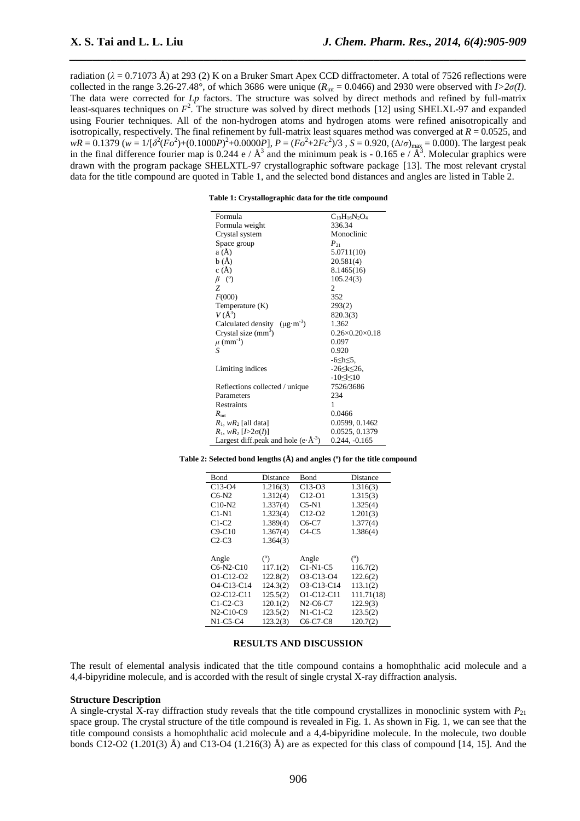radiation ( $\lambda$  = 0.71073 Å) at 293 (2) K on a Bruker Smart Apex CCD diffractometer. A total of 7526 reflections were collected in the range 3.26-27.48°, of which 3686 were unique  $(R_{\text{int}} = 0.0466)$  and 2930 were observed with  $I > 2\sigma(I)$ . The data were corrected for *Lp* factors. The structure was solved by direct methods and refined by full-matrix least-squares techniques on  $F^2$ . The structure was solved by direct methods [12] using SHELXL-97 and expanded using Fourier techniques. All of the non-hydrogen atoms and hydrogen atoms were refined anisotropically and isotropically, respectively. The final refinement by full-matrix least squares method was converged at *R* = 0.0525, and  $wR = 0.1379$  ( $w = 1/[{\delta^2(Fo^2)+(0.1000P)^2+0.0000P}]}$ ,  $P = (Fo^2+2Fc^2)/3$ ,  $S = 0.920$ ,  $(\Delta/\sigma)_{\text{max}} = 0.000$ ). The largest peak in the final difference fourier map is 0.244 e /  $\AA^3$  and the minimum peak is - 0.165 e /  $\AA^3$ . Molecular graphics were drawn with the program package SHELXTL-97 crystallographic software package [13]. The most relevant crystal data for the title compound are quoted in Table 1, and the selected bond distances and angles are listed in Table 2.

*\_\_\_\_\_\_\_\_\_\_\_\_\_\_\_\_\_\_\_\_\_\_\_\_\_\_\_\_\_\_\_\_\_\_\_\_\_\_\_\_\_\_\_\_\_\_\_\_\_\_\_\_\_\_\_\_\_\_\_\_\_\_\_\_\_\_\_\_\_\_\_\_\_\_\_\_\_\_*

| Table 1: Crystallographic data for the title compound |  |  |
|-------------------------------------------------------|--|--|
|                                                       |  |  |

| Formula                                                 | $C_{19}H_{16}N_2O_4$           |  |  |
|---------------------------------------------------------|--------------------------------|--|--|
| Formula weight                                          | 336.34                         |  |  |
| Crystal system                                          | Monoclinic                     |  |  |
| Space group                                             | $P_{21}$                       |  |  |
| a (Å)                                                   | 5.0711(10)                     |  |  |
| b(A)                                                    | 20.581(4)                      |  |  |
| c(A)                                                    | 8.1465(16)                     |  |  |
| $\beta$ (°)                                             | 105.24(3)                      |  |  |
| Z                                                       | 2                              |  |  |
| F(000)                                                  | 352                            |  |  |
| Temperature (K)                                         | 293(2)                         |  |  |
| $V(A^3)$                                                | 820.3(3)                       |  |  |
| Calculated density $(\mu g \cdot m^{-3})$               | 1.362                          |  |  |
| Crystal size $(mm3)$                                    | $0.26 \times 0.20 \times 0.18$ |  |  |
| $\mu$ (mm <sup>-1</sup> )                               | 0.097                          |  |  |
| S                                                       | 0.920                          |  |  |
|                                                         | $-6$ $\leq$ h $\leq$ 5.        |  |  |
| Limiting indices                                        | $-26 \le k \le 26$             |  |  |
|                                                         | $-10 \leq k \leq 10$           |  |  |
| Reflections collected / unique                          | 7526/3686                      |  |  |
| Parameters                                              | 234                            |  |  |
| Restraints                                              | 1                              |  |  |
| $R_{\rm int}$                                           | 0.0466                         |  |  |
| $R_1$ , w $R_2$ [all data]                              | 0.0599, 0.1462                 |  |  |
| $R_1, wR_2 [I > 2\sigma(I)]$                            | 0.0525, 0.1379                 |  |  |
| Largest diff.peak and hole (e $\cdot$ Å <sup>-3</sup> ) | $0.244, -0.165$                |  |  |

**Table 2: Selected bond lengths (Å) and angles (º) for the title compound** 

| Bond                                             | Distance | Bond             | Distance   |
|--------------------------------------------------|----------|------------------|------------|
| $C13-04$                                         | 1.216(3) | $C13-03$         | 1.316(3)   |
| $C6-N2$                                          | 1.312(4) | $C12-01$         | 1.315(3)   |
| $C10-N2$                                         | 1.337(4) | $C5-N1$          | 1.325(4)   |
| $C1-N1$                                          | 1.323(4) | $C12-02$         | 1.201(3)   |
| $C1-C2$                                          | 1.389(4) | $C6-C7$          | 1.377(4)   |
| $C9-C10$                                         | 1.367(4) | $C4-C5$          | 1.386(4)   |
| $C2-C3$                                          | 1.364(3) |                  |            |
|                                                  |          |                  |            |
| Angle                                            | (°)      | Angle            | (°)        |
| $C6-N2-C10$                                      | 117.1(2) | $C1-N1-C5$       | 116.7(2)   |
| O1-C12-O2                                        | 122.8(2) | O3-C13-O4        | 122.6(2)   |
| O <sub>4</sub> -C <sub>13</sub> -C <sub>14</sub> | 124.3(2) | O3-C13-C14       | 113.1(2)   |
| $O2-C12-C11$                                     | 125.5(2) | $O1 - C12 - C11$ | 111.71(18) |
| $C1-C2-C3$                                       | 120.1(2) | $N2-C6-C7$       | 122.9(3)   |
| $N2-C10-C9$                                      | 123.5(2) | $N1-C1-C2$       | 123.5(2)   |
| $N1-C5-C4$                                       | 123.2(3) | $C6-C7-C8$       | 120.7(2)   |

#### **RESULTS AND DISCUSSION**

The result of elemental analysis indicated that the title compound contains a homophthalic acid molecule and a 4,4-bipyridine molecule, and is accorded with the result of single crystal X-ray diffraction analysis.

#### **Structure Description**

A single-crystal X-ray diffraction study reveals that the title compound crystallizes in monoclinic system with  $P_{21}$ space group. The crystal structure of the title compound is revealed in Fig. 1. As shown in Fig. 1, we can see that the title compound consists a homophthalic acid molecule and a 4,4-bipyridine molecule. In the molecule, two double bonds C12-O2 (1.201(3) Å) and C13-O4 (1.216(3) Å) are as expected for this class of compound [14, 15]. And the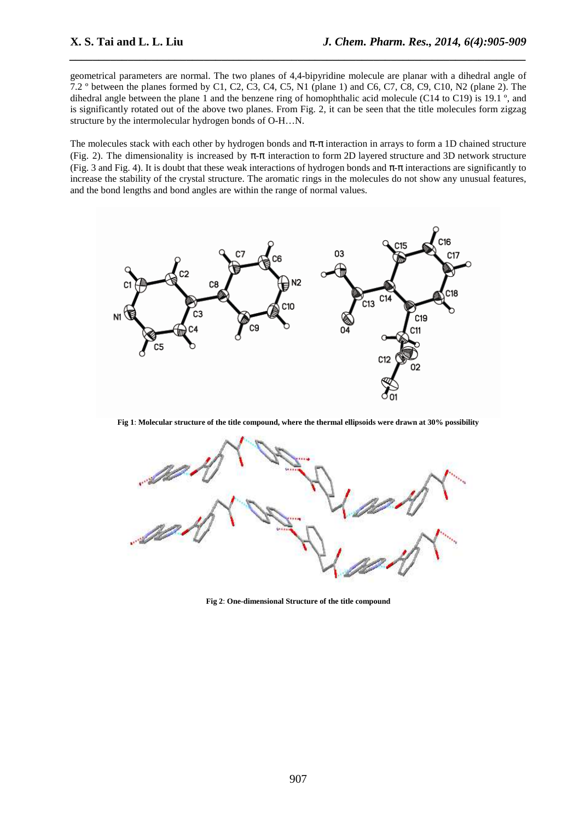geometrical parameters are normal. The two planes of 4,4-bipyridine molecule are planar with a dihedral angle of 7.2 º between the planes formed by C1, C2, C3, C4, C5, N1 (plane 1) and C6, C7, C8, C9, C10, N2 (plane 2). The dihedral angle between the plane 1 and the benzene ring of homophthalic acid molecule (C14 to C19) is 19.1  $\degree$ , and is significantly rotated out of the above two planes. From Fig. 2, it can be seen that the title molecules form zigzag structure by the intermolecular hydrogen bonds of O-H…N.

*\_\_\_\_\_\_\_\_\_\_\_\_\_\_\_\_\_\_\_\_\_\_\_\_\_\_\_\_\_\_\_\_\_\_\_\_\_\_\_\_\_\_\_\_\_\_\_\_\_\_\_\_\_\_\_\_\_\_\_\_\_\_\_\_\_\_\_\_\_\_\_\_\_\_\_\_\_\_*

The molecules stack with each other by hydrogen bonds and  $\pi$ -π interaction in arrays to form a 1D chained structure (Fig. 2). The dimensionality is increased by  $\pi$ - $\pi$  interaction to form 2D layered structure and 3D network structure (Fig. 3 and Fig. 4). It is doubt that these weak interactions of hydrogen bonds and  $\pi$ - $\pi$  interactions are significantly to increase the stability of the crystal structure. The aromatic rings in the molecules do not show any unusual features, and the bond lengths and bond angles are within the range of normal values.



**Fig 1**: **Molecular structure of the title compound, where the thermal ellipsoids were drawn at 30% possibility** 



**Fig 2**: **One-dimensional Structure of the title compound**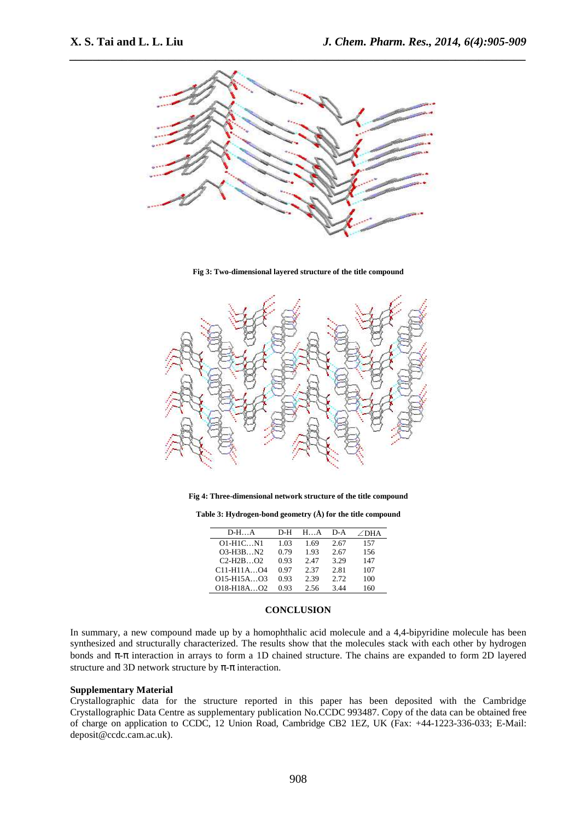

**Fig 3: Two-dimensional layered structure of the title compound** 



**Fig 4: Three-dimensional network structure of the title compound** 

**Table 3: Hydrogen-bond geometry (Å) for the title compound** 

| $D-HA$     | D-H  | H.A  | D-A  | $\angle$ DHA |
|------------|------|------|------|--------------|
| 01-H1CN1   | 1.03 | 1.69 | 2.67 | 157          |
| $O3-H3BN2$ | 0.79 | 1.93 | 2.67 | 156          |
| $C2-H2BO2$ | 0.93 | 2.47 | 3.29 | 147          |
| C11-H11AO4 | 0.97 | 2.37 | 2.81 | 107          |
| O15-H15AO3 | 0.93 | 2.39 | 2.72 | 100          |
| O18-H18AO2 | 0.93 | 2.56 | 3.44 | 160          |

#### **CONCLUSION**

In summary, a new compound made up by a homophthalic acid molecule and a 4,4-bipyridine molecule has been synthesized and structurally characterized. The results show that the molecules stack with each other by hydrogen bonds and π-π interaction in arrays to form a 1D chained structure. The chains are expanded to form 2D layered structure and 3D network structure by  $\pi$ - $\pi$  interaction.

### **Supplementary Material**

Crystallographic data for the structure reported in this paper has been deposited with the Cambridge Crystallographic Data Centre as supplementary publication No.CCDC 993487. Copy of the data can be obtained free of charge on application to CCDC, 12 Union Road, Cambridge CB2 1EZ, UK (Fax: +44-1223-336-033; E-Mail: deposit@ccdc.cam.ac.uk).